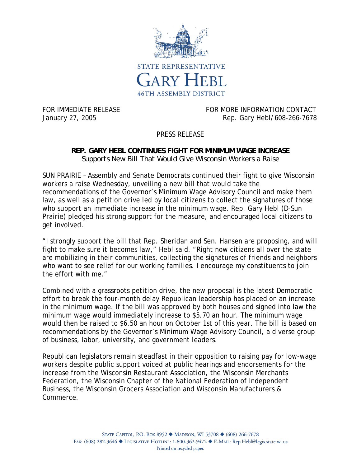

FOR IMMEDIATE RELEASE FOR MORE INFORMATION CONTACT January 27, 2005 Rep. Gary Hebl/608-266-7678

## PRESS RELEASE

## **REP. GARY HEBL CONTINUES FIGHT FOR MINIMUM WAGE INCREASE**  *Supports New Bill That Would Give Wisconsin Workers a Raise*

SUN PRAIRIE – Assembly and Senate Democrats continued their fight to give Wisconsin workers a raise Wednesday, unveiling a new bill that would take the recommendations of the Governor's Minimum Wage Advisory Council and make them law, as well as a petition drive led by local citizens to collect the signatures of those who support an immediate increase in the minimum wage. Rep. Gary Hebl (D-Sun Prairie) pledged his strong support for the measure, and encouraged local citizens to get involved.

"I strongly support the bill that Rep. Sheridan and Sen. Hansen are proposing, and will fight to make sure it becomes law," Hebl said. "Right now citizens all over the state are mobilizing in their communities, collecting the signatures of friends and neighbors who want to see relief for our working families. I encourage my constituents to join the effort with me."

Combined with a grassroots petition drive, the new proposal is the latest Democratic effort to break the four-month delay Republican leadership has placed on an increase in the minimum wage. If the bill was approved by both houses and signed into law the minimum wage would immediately increase to \$5.70 an hour. The minimum wage would then be raised to \$6.50 an hour on October 1st of this year. The bill is based on recommendations by the Governor's Minimum Wage Advisory Council, a diverse group of business, labor, university, and government leaders.

Republican legislators remain steadfast in their opposition to raising pay for low-wage workers despite public support voiced at public hearings and endorsements for the increase from the Wisconsin Restaurant Association, the Wisconsin Merchants Federation, the Wisconsin Chapter of the National Federation of Independent Business, the Wisconsin Grocers Association and Wisconsin Manufacturers & Commerce.